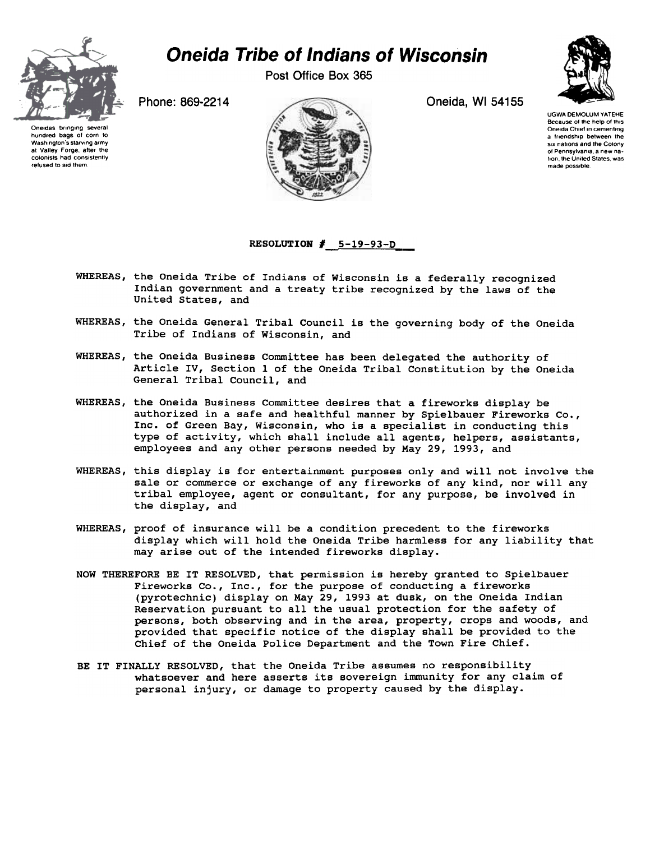

## Oneida Tribe of Indians of Wisconsin

Post Office Box 365

Oneidas bringing several hundred bags of corn to Washington's starving army at Valley Forge, after the colonists had consistently refused to aid them





UGWA DEMOLUM YATEHE Because of the help of this Oneida Chief in cementing a friendship between the six nations and the Colony of Pennsylvania a new nation the United States was made possible.

## RESOLUTION  $#$  5-19-93-D

- WHEREAS, the Oneida Tribe of Indians of Wisconsin is a federally recognized Indian government and a treaty tribe recognized by the laws of the United States, and
- WHEREAS, the Oneida General Tribal Council is the governing body of the Oneida Tribe of Indians of Wisconsin, and
- WHEREAS, the Oneida Business Committee has been delegated the authority of Article IV, Section 1 of the Oneida Tribal Constitution by the Oneida General Tribal Council, and
- WHEREAS, the Oneida Business Committee desires that a fireworks display be authorized in a safe and healthful manner by Spielbauer Fireworks Co., Inc. of Green Bay, Wisconsin, who is a specialist in conducting this type of activity, which shall include all agents, helpers, assistants, employees and any other persons needed by May 29, 1993, and
- WHEREAS, this display is for entertainment purposes only and will not involve the sale or commerce or exchange of any fireworks of any kind, nor will any tribal employee, agent or consultant, for any purpose, be involved in the display, and
- WHEREAS, proof of insurance will be a condition precedent to the fireworks display which will hold the Oneida Tribe harmless for any liability that may arise out of the intended fireworks display.
- NOW THEREFORE BE IT RESOLVED, that permission is hereby granted to Spielbauer Fireworks Co., Inc., for the purpose of conducting a fireworks (pyrotechnic) display on May 29, 1993 at dusk, on the Oneida Indian Reservation pursuant to all the usual protection for the safety of persons, both observing and in the area, property, crops and woods, and provided that specific notice of the display shall be provided to the Chief of the Oneida Police Department and the Town Fire Chief.
- BE IT FINALLY RESOLVED, that the Oneida Tribe assumes no responsibility whatsoever and here asserts its sovereign immunity for any claim of personal injury, or damage to property caused by the display.